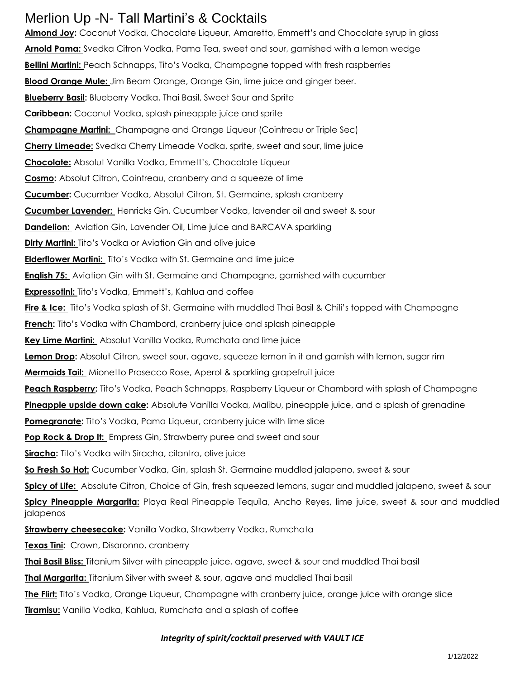## Merlion Up -N- Tall Martini's & Cocktails

Almond Joy: Coconut Vodka, Chocolate Liqueur, Amaretto, Emmett's and Chocolate syrup in glass **Arnold Pama:** Svedka Citron Vodka, Pama Tea, sweet and sour, garnished with a lemon wedge **Bellini Martini:** Peach Schnapps, Tito's Vodka, Champagne topped with fresh raspberries **Blood Orange Mule:** Jim Beam Orange, Orange Gin, lime juice and ginger beer. **Blueberry Basil:** Blueberry Vodka, Thai Basil, Sweet Sour and Sprite **Caribbean:** Coconut Vodka, splash pineapple juice and sprite **Champagne Martini:** Champagne and Orange Liqueur (Cointreau or Triple Sec) **Cherry Limeade:** Svedka Cherry Limeade Vodka, sprite, sweet and sour, lime juice **Chocolate:** Absolut Vanilla Vodka, Emmett's, Chocolate Liqueur **Cosmo:** Absolut Citron, Cointreau, cranberry and a squeeze of lime **Cucumber:** Cucumber Vodka, Absolut Citron, St. Germaine, splash cranberry **Cucumber Lavender:** Henricks Gin, Cucumber Vodka, lavender oil and sweet & sour **Dandelion:** Aviation Gin, Lavender Oil, Lime juice and BARCAVA sparkling **Dirty Martini:** Tito's Vodka or Aviation Gin and olive juice **Elderflower Martini:** Tito's Vodka with St. Germaine and lime juice **English 75:** Aviation Gin with St. Germaine and Champagne, garnished with cucumber **Expressotini:** Tito's Vodka, Emmett's, Kahlua and coffee **Fire & Ice:** Tito's Vodka splash of St. Germaine with muddled Thai Basil & Chili's topped with Champagne **French:** Tito's Vodka with Chambord, cranberry juice and splash pineapple **Key Lime Martini:** Absolut Vanilla Vodka, Rumchata and lime juice **Lemon Drop:** Absolut Citron, sweet sour, agave, squeeze lemon in it and garnish with lemon, sugar rim **Mermaids Tail:** Mionetto Prosecco Rose, Aperol & sparkling grapefruit juice **Peach Raspberry:** Tito's Vodka, Peach Schnapps, Raspberry Liqueur or Chambord with splash of Champagne **Pineapple upside down cake:** Absolute Vanilla Vodka, Malibu, pineapple juice, and a splash of grenadine **Pomegranate:** Tito's Vodka, Pama Liqueur, cranberry juice with lime slice Pop Rock & Drop It: Empress Gin, Strawberry puree and sweet and sour **Siracha:** Tito's Vodka with Siracha, cilantro, olive juice **So Fresh So Hot:** Cucumber Vodka, Gin, splash St. Germaine muddled jalapeno, sweet & sour **Spicy of Life:** Absolute Citron, Choice of Gin, fresh squeezed lemons, sugar and muddled jalapeno, sweet & sour **Spicy Pineapple Margarita:** Playa Real Pineapple Tequila, Ancho Reyes, lime juice, sweet & sour and muddled jalapenos **Strawberry cheesecake:** Vanilla Vodka, Strawberry Vodka, Rumchata **Texas Tini:** Crown, Disaronno, cranberry **Thai Basil Bliss:** Titanium Silver with pineapple juice, agave, sweet & sour and muddled Thai basil **Thai Margarita:** Titanium Silver with sweet & sour, agave and muddled Thai basil **The Flirt:** Tito's Vodka, Orange Liqueur, Champagne with cranberry juice, orange juice with orange slice **Tiramisu:** Vanilla Vodka, Kahlua, Rumchata and a splash of coffee

#### *Integrity of spirit/cocktail preserved with VAULT ICE*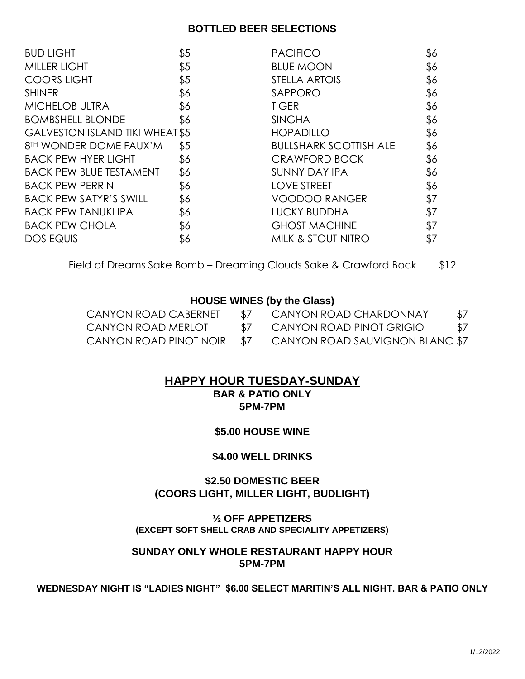#### **BOTTLED BEER SELECTIONS**

| \$5                                   | <b>PACIFICO</b>               | \$6 |
|---------------------------------------|-------------------------------|-----|
| \$5                                   | <b>BLUE MOON</b>              | \$6 |
| \$5                                   | STELLA ARTOIS                 | \$6 |
| \$6                                   | SAPPORO                       | \$6 |
| \$6                                   | <b>TIGER</b>                  | \$6 |
| \$6                                   | <b>SINGHA</b>                 | \$6 |
| <b>GALVESTON ISLAND TIKI WHEAT\$5</b> | <b>HOPADILLO</b>              | \$6 |
| \$5                                   | <b>BULLSHARK SCOTTISH ALE</b> | \$6 |
| \$6                                   | <b>CRAWFORD BOCK</b>          | \$6 |
| \$6                                   | <b>SUNNY DAY IPA</b>          | \$6 |
| \$6                                   | <b>LOVE STREET</b>            | \$6 |
| \$6                                   | <b>VOODOO RANGER</b>          | \$7 |
| \$6                                   | <b>LUCKY BUDDHA</b>           | \$7 |
| \$6                                   | <b>GHOST MACHINE</b>          | \$7 |
| \$6                                   | <b>MILK &amp; STOUT NITRO</b> | \$7 |
|                                       |                               |     |

Field of Dreams Sake Bomb – Dreaming Clouds Sake & Crawford Bock \$12

#### **HOUSE WINES (by the Glass)**

| CANYON ROAD CABERNET   | $\frac{1}{2}$ | CANYON ROAD CHARDONNAY          | \$7 |
|------------------------|---------------|---------------------------------|-----|
| CANYON ROAD MERLOT     | $\sqrt{2}$    | CANYON ROAD PINOT GRIGIO        | \$7 |
| CANYON ROAD PINOT NOIR | $\mathcal{L}$ | CANYON ROAD SAUVIGNON BLANC \$7 |     |

### **HAPPY HOUR TUESDAY-SUNDAY**

**BAR & PATIO ONLY 5PM-7PM**

#### **\$5.00 HOUSE WINE**

#### **\$4.00 WELL DRINKS**

#### **\$2.50 DOMESTIC BEER (COORS LIGHT, MILLER LIGHT, BUDLIGHT)**

**½ OFF APPETIZERS (EXCEPT SOFT SHELL CRAB AND SPECIALITY APPETIZERS)**

#### **SUNDAY ONLY WHOLE RESTAURANT HAPPY HOUR 5PM-7PM**

**WEDNESDAY NIGHT IS "LADIES NIGHT" \$6.00 SELECT MARITIN'S ALL NIGHT. BAR & PATIO ONLY**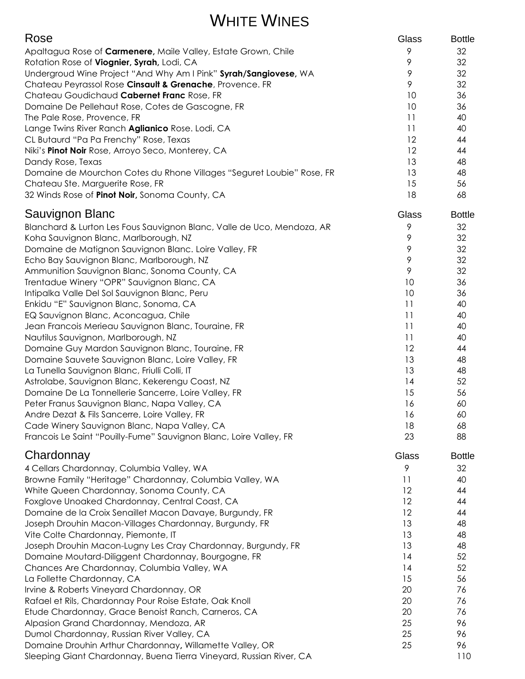## WHITE WINES

| Rose                                                                                                      | Glass    | <b>Bottle</b> |
|-----------------------------------------------------------------------------------------------------------|----------|---------------|
| Apaltagua Rose of Carmenere, Maile Valley, Estate Grown, Chile                                            | 9        | 32            |
| Rotation Rose of Viognier, Syrah, Lodi, CA                                                                | 9        | 32            |
| Undergroud Wine Project "And Why Am I Pink" Syrah/Sangiovese, WA                                          | 9        | 32            |
| Chateau Peyrassol Rose Cinsault & Grenache, Provence. FR                                                  | 9        | 32            |
| Chateau Goudichaud Cabernet Franc Rose, FR                                                                | 10       | 36            |
| Domaine De Pellehaut Rose, Cotes de Gascogne, FR                                                          | 10       | 36            |
| The Pale Rose, Provence, FR                                                                               | 11       | 40            |
| Lange Twins River Ranch Aglianico Rose. Lodi, CA                                                          | 11       | 40            |
| CL Butaurd "Pa Pa Frenchy" Rose, Texas                                                                    | 12       | 44            |
| Niki's Pinot Noir Rose, Arroyo Seco, Monterey, CA                                                         | 12       | 44            |
| Dandy Rose, Texas                                                                                         | 13<br>13 | 48<br>48      |
| Domaine de Mourchon Cotes du Rhone Villages "Seguret Loubie" Rose, FR<br>Chateau Ste. Marguerite Rose, FR | 15       | 56            |
| 32 Winds Rose of Pinot Noir, Sonoma County, CA                                                            | 18       | 68            |
|                                                                                                           |          |               |
| Sauvignon Blanc                                                                                           | Glass    | <b>Bottle</b> |
| Blanchard & Lurton Les Fous Sauvignon Blanc, Valle de Uco, Mendoza, AR                                    | 9        | 32            |
| Koha Sauvignon Blanc, Marlborough, NZ                                                                     | 9        | 32            |
| Domaine de Matignon Sauvignon Blanc. Loire Valley, FR                                                     | 9        | 32            |
| Echo Bay Sauvignon Blanc, Marlborough, NZ                                                                 | 9<br>9   | 32            |
| Ammunition Sauvignon Blanc, Sonoma County, CA                                                             | 10       | 32<br>36      |
| Trentadue Winery "OPR" Sauvignon Blanc, CA<br>Intipalka Valle Del Sol Sauvignon Blanc, Peru               | 10       | 36            |
| Enkidu "E" Sauvignon Blanc, Sonoma, CA                                                                    | 11       | 40            |
| EQ Sauvignon Blanc, Aconcagua, Chile                                                                      | 11       | 40            |
| Jean Francois Merieau Sauvignon Blanc, Touraine, FR                                                       | 11       | 40            |
| Nautilus Sauvignon, Marlborough, NZ                                                                       | 11       | 40            |
| Domaine Guy Mardon Sauvignon Blanc, Touraine, FR                                                          | 12       | 44            |
| Domaine Sauvete Sauvignon Blanc, Loire Valley, FR                                                         | 13       | 48            |
| La Tunella Sauvignon Blanc, Friulli Colli, IT                                                             | 13       | 48            |
| Astrolabe, Sauvignon Blanc, Kekerengu Coast, NZ                                                           | 14       | 52            |
| Domaine De La Tonnellerie Sancerre, Loire Valley, FR                                                      | 15       | 56            |
| Peter Franus Sauvignon Blanc, Napa Valley, CA                                                             | 16       | 60            |
| Andre Dezat & Fils Sancerre, Loire Valley, FR                                                             | 16       | 60            |
| Cade Winery Sauvignon Blanc, Napa Valley, CA                                                              | 18       | 68            |
| Francois Le Saint "Pouilly-Fume" Sauvignon Blanc, Loire Valley, FR                                        | 23       | 88            |
| Chardonnay                                                                                                | Glass    | <b>Bottle</b> |
| 4 Cellars Chardonnay, Columbia Valley, WA                                                                 | 9        | 32            |
| Browne Family "Heritage" Chardonnay, Columbia Valley, WA                                                  | 11       | 40            |
| White Queen Chardonnay, Sonoma County, CA                                                                 | 12       | 44            |
| Foxglove Unoaked Chardonnay, Central Coast, CA                                                            | 12       | 44            |
| Domaine de la Croix Senaillet Macon Davaye, Burgundy, FR                                                  | 12       | 44            |
| Joseph Drouhin Macon-Villages Chardonnay, Burgundy, FR                                                    | 13       | 48            |
| Vite Colte Chardonnay, Piemonte, IT                                                                       | 13       | 48            |
| Joseph Drouhin Macon-Lugny Les Cray Chardonnay, Burgundy, FR                                              | 13       | 48            |
| Domaine Moutard-Diliggent Chardonnay, Bourgogne, FR                                                       | 14       | 52            |
| Chances Are Chardonnay, Columbia Valley, WA                                                               | 14       | 52            |
| La Follette Chardonnay, CA                                                                                | 15       | 56            |
| Irvine & Roberts Vineyard Chardonnay, OR                                                                  | 20       | 76            |
| Rafael et Rils, Chardonnay Pour Roise Estate, Oak Knoll                                                   | 20       | 76            |
| Etude Chardonnay, Grace Benoist Ranch, Carneros, CA                                                       | 20       | 76            |
| Alpasion Grand Chardonnay, Mendoza, AR                                                                    | 25<br>25 | 96<br>96      |
| Dumol Chardonnay, Russian River Valley, CA<br>Domaine Drouhin Arthur Chardonnay, Willamette Valley, OR    | 25       | 96            |
| Sleeping Giant Chardonnay, Buena Tierra Vineyard, Russian River, CA                                       |          | 110           |
|                                                                                                           |          |               |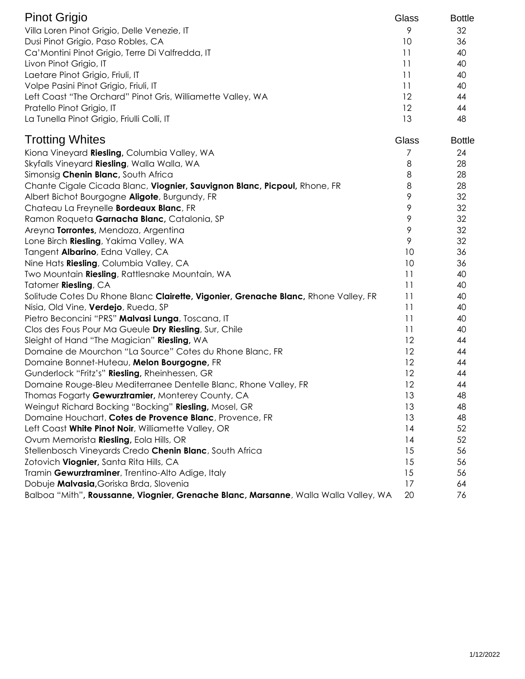| <b>Pinot Grigio</b>                                         | Glass | <b>Bottle</b> |
|-------------------------------------------------------------|-------|---------------|
| Villa Loren Pinot Grigio, Delle Venezie, IT                 | 9     | 32            |
| Dusi Pinot Grigio, Paso Robles, CA                          | 10    | 36            |
| Ca' Montini Pinot Grigio, Terre Di Valfredda, IT            |       | 40            |
| Livon Pinot Grigio, IT                                      |       | 40            |
| Laetare Pinot Grigio, Friuli, IT                            |       | 40            |
| Volpe Pasini Pinot Grigio, Friuli, IT                       |       | 40            |
| Left Coast "The Orchard" Pinot Gris, Williamette Valley, WA | 12    | 44            |
| Pratello Pinot Grigio, IT                                   | 12    | 44            |
| La Tunella Pinot Grigio, Friulli Colli, IT                  |       | 48            |

| <b>Trotting Whites</b>                                                               | Glass           | <b>Bottle</b> |
|--------------------------------------------------------------------------------------|-----------------|---------------|
| Kiona Vineyard Riesling, Columbia Valley, WA                                         | 7               | 24            |
| Skyfalls Vineyard Riesling, Walla Walla, WA                                          | 8               | 28            |
| Simonsig Chenin Blanc, South Africa                                                  | 8               | 28            |
| Chante Cigale Cicada Blanc, Viognier, Sauvignon Blanc, Picpoul, Rhone, FR            | 8               | 28            |
| Albert Bichot Bourgogne Aligote, Burgundy, FR                                        | 9               | 32            |
| Chateau La Freynelle Bordeaux Blanc, FR                                              | 9               | 32            |
| Ramon Roqueta Garnacha Blanc, Catalonia, SP                                          | 9               | 32            |
| Areyna Torrontes, Mendoza, Argentina                                                 | 9               | 32            |
| Lone Birch Riesling, Yakima Valley, WA                                               | 9               | 32            |
| Tangent Albarino, Edna Valley, CA                                                    | 10              | 36            |
| Nine Hats Riesling, Columbia Valley, CA                                              | 10              | 36            |
| Two Mountain Riesling, Rattlesnake Mountain, WA                                      | 11              | 40            |
| Tatomer Riesling, CA                                                                 | 11              | 40            |
| Solitude Cotes Du Rhone Blanc Clairette, Vigonier, Grenache Blanc, Rhone Valley, FR  | $\overline{11}$ | 40            |
| Nisia, Old Vine, Verdejo, Rueda, SP                                                  | 11              | 40            |
| Pietro Beconcini "PRS" Malvasi Lunga, Toscana, IT                                    | 11              | 40            |
| Clos des Fous Pour Ma Gueule Dry Riesling, Sur, Chile                                | 11              | 40            |
| Sleight of Hand "The Magician" Riesling, WA                                          | 12              | 44            |
| Domaine de Mourchon "La Source" Cotes du Rhone Blanc, FR                             | 12              | 44            |
| Domaine Bonnet-Huteau, Melon Bourgogne, FR                                           | 12              | 44            |
| Gunderlock "Fritz's" Riesling, Rheinhessen, GR                                       | 12              | 44            |
| Domaine Rouge-Bleu Mediterranee Dentelle Blanc, Rhone Valley, FR                     | 12              | 44            |
| Thomas Fogarty Gewurztramier, Monterey County, CA                                    | 13              | 48            |
| Weingut Richard Bocking "Bocking" Riesling, Mosel, GR                                | 13              | 48            |
| Domaine Houchart, Cotes de Provence Blanc, Provence, FR                              | 13              | 48            |
| Left Coast White Pinot Noir, Williamette Valley, OR                                  | 14              | 52            |
| Ovum Memorista Riesling, Eola Hills, OR                                              | 14              | 52            |
| Stellenbosch Vineyards Credo Chenin Blanc, South Africa                              | 15              | 56            |
| Zotovich Viognier, Santa Rita Hills, CA                                              | 15              | 56            |
| Tramin Gewurztraminer, Trentino-Alto Adige, Italy                                    | 15              | 56            |
| Dobuje Malvasia, Goriska Brda, Slovenia                                              | 17              | 64            |
| Balboa "Mith", Roussanne, Viognier, Grenache Blanc, Marsanne, Walla Walla Valley, WA | 20              | 76            |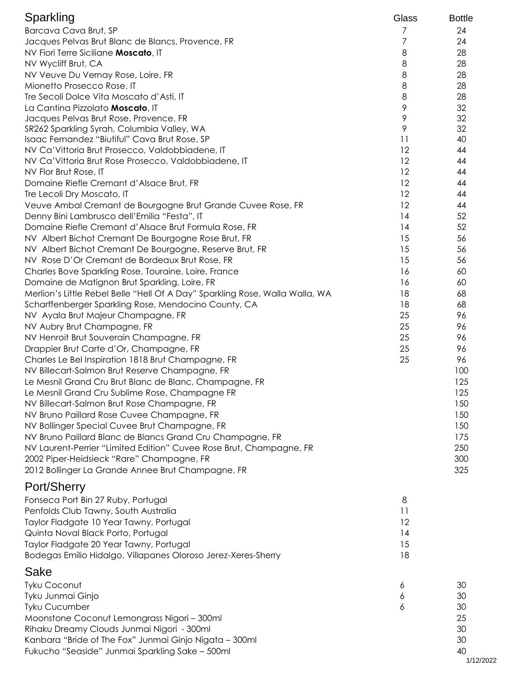| Sparkling                                                                    | Glass | <b>Bottle</b> |
|------------------------------------------------------------------------------|-------|---------------|
| Barcava Cava Brut, SP                                                        | 7     | 24            |
| Jacques Pelvas Brut Blanc de Blancs, Provence, FR                            | 7     | 24            |
| NV Fiori Terre Siciliane Moscato, IT                                         | 8     | 28            |
| NV Wycliff Brut, CA                                                          | 8     | 28            |
| NV Veuve Du Vernay Rose, Loire, FR                                           | 8     | 28            |
| Mionetto Prosecco Rose. IT                                                   | 8     | 28            |
| Tre Secoli Dolce Vita Moscato d'Asti, IT                                     | 8     | 28            |
| La Cantina Pizzolato Moscato, IT                                             | 9     | 32            |
| Jacques Pelvas Brut Rose, Provence, FR                                       | 9     | 32            |
| SR262 Sparkling Syrah, Columbia Valley, WA                                   | 9     | 32            |
| Isaac Fernandez "Biutiful" Cava Brut Rose, SP                                | 11    | 40            |
| NV Ca' Vittoria Brut Prosecco, Valdobbiadene, IT                             | 12    | 44            |
| NV Ca' Vittoria Brut Rose Prosecco, Valdobbiadene, IT                        | 12    | 44            |
| NV Flor Brut Rose, IT                                                        | 12    | 44            |
| Domaine Riefle Cremant d'Alsace Brut, FR                                     | 12    | 44            |
| Tre Lecoli Dry Moscato, IT                                                   | 12    | 44            |
| Veuve Ambal Cremant de Bourgogne Brut Grande Cuvee Rose, FR                  | 12    | 44            |
| Denny Bini Lambrusco dell'Emilia "Festa", IT                                 | 14    | 52            |
| Domaine Riefle Cremant d'Alsace Brut Formula Rose, FR                        | 14    | 52            |
| NV Albert Bichot Cremant De Bourgogne Rose Brut, FR                          | 15    | 56            |
| NV Albert Bichot Cremant De Bourgogne, Reserve Brut, FR                      | 15    | 56            |
| NV Rose D'Or Cremant de Bordeaux Brut Rose, FR                               | 15    | 56            |
| Charles Bove Sparkling Rose, Touraine, Loire, France                         | 16    | 60            |
| Domaine de Matignon Brut Sparkling, Loire, FR                                | 16    | 60            |
| Merlion's Little Rebel Belle "Hell Of A Day" Sparkling Rose, Walla Walla, WA | 18    | 68            |
| Scharffenberger Sparkling Rose, Mendocino County, CA                         | 18    | 68            |
|                                                                              | 25    | 96            |
| NV Ayala Brut Majeur Champagne, FR                                           | 25    | 96            |
| NV Aubry Brut Champagne, FR                                                  | 25    | 96            |
| NV Henroit Brut Souverain Champagne, FR                                      |       |               |
| Drappier Brut Carte d'Or, Champagne, FR                                      | 25    | 96            |
| Charles Le Bel Inspiration 1818 Brut Champagne, FR                           | 25    | 96            |
| NV Billecart-Salmon Brut Reserve Champagne, FR                               |       | 100           |
| Le Mesnil Grand Cru Brut Blanc de Blanc, Champagne, FR                       |       | 125           |
| Le Mesnil Grand Cru Sublime Rose, Champagne FR                               |       | 125           |
| NV Billecart-Salmon Brut Rose Champagne, FR                                  |       | 150           |
| NV Bruno Paillard Rose Cuvee Champagne, FR                                   |       | 150           |
| NV Bollinger Special Cuvee Brut Champagne, FR                                |       | 150           |
| NV Bruno Paillard Blanc de Blancs Grand Cru Champagne, FR                    |       | 175           |
| NV Laurent-Perrier "Limited Edition" Cuvee Rose Brut, Champagne, FR          |       | 250           |
| 2002 Piper-Heidsieck "Rare" Champagne, FR                                    |       | 300           |
| 2012 Bollinger La Grande Annee Brut Champagne, FR                            |       | 325           |
| Port/Sherry                                                                  |       |               |
| Fonseca Port Bin 27 Ruby, Portugal                                           | 8     |               |
| Penfolds Club Tawny, South Australia                                         | 11    |               |
| Taylor Fladgate 10 Year Tawny, Portugal                                      | 12    |               |
| Quinta Noval Black Porto, Portugal                                           | 14    |               |
| Taylor Fladgate 20 Year Tawny, Portugal                                      | 15    |               |
| Bodegas Emilio Hidalgo, Villapanes Oloroso Jerez-Xeres-Sherry                | 18    |               |

### Sake

| Tyku Coconut                                           | 30 |
|--------------------------------------------------------|----|
| Tyku Junmai Ginjo                                      | 30 |
| <b>Tyku Cucumber</b>                                   | 30 |
| Moonstone Coconut Lemongrass Nigori - 300ml            | 25 |
| Rihaku Dreamy Clouds Junmai Nigori - 300ml             | 30 |
| Kanbara "Bride of The Fox" Junmai Ginjo Nigata - 300ml | 30 |
| Fukucho "Seaside" Junmai Sparkling Sake - 500ml        | 40 |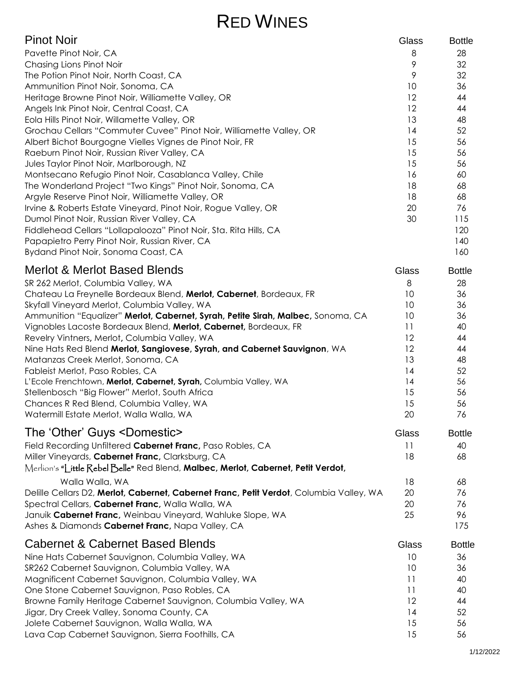# RED WINES

| <b>Pinot Noir</b>                                                   | Glass                | <b>Bottle</b> |
|---------------------------------------------------------------------|----------------------|---------------|
| Pavette Pinot Noir, CA                                              | 8                    | 28            |
| Chasing Lions Pinot Noir                                            | 9                    | 32            |
| The Potion Pinot Noir, North Coast, CA                              | 9                    | 32            |
| Ammunition Pinot Noir, Sonoma, CA                                   | 10                   | 36            |
| Heritage Browne Pinot Noir, Williamette Valley, OR                  | 12                   | 44            |
| Angels Ink Pinot Noir, Central Coast, CA                            | $12 \overline{ }$    | 44            |
| Eola Hills Pinot Noir, Willamette Valley, OR                        | 13                   | 48            |
| Grochau Cellars "Commuter Cuvee" Pinot Noir, Williamette Valley, OR | 14                   | 52            |
| Albert Bichot Bourgogne Vielles Vignes de Pinot Noir, FR            | 15                   | 56            |
| Raeburn Pinot Noir, Russian River Valley, CA                        | 15                   | 56            |
| Jules Taylor Pinot Noir, Marlborough, NZ                            | 15                   | 56            |
| Montsecano Refugio Pinot Noir, Casablanca Valley, Chile             | 16                   | 60            |
| The Wonderland Project "Two Kings" Pinot Noir, Sonoma, CA           | 18                   | 68            |
| Argyle Reserve Pinot Noir, Williamette Valley, OR                   | 18                   | 68            |
| Irvine & Roberts Estate Vineyard, Pinot Noir, Rogue Valley, OR      | 20                   | 76            |
| Dumol Pinot Noir, Russian River Valley, CA                          | 30                   | 115           |
| Fiddlehead Cellars "Lollapalooza" Pinot Noir, Sta. Rita Hills, CA   |                      | 120           |
| Papapietro Perry Pinot Noir, Russian River, CA                      |                      | 140           |
| Bydand Pinot Noir, Sonoma Coast, CA                                 |                      | 160           |
| Marlot & Marlot Rocad Plande                                        | $\bigcap_{n \geq n}$ | <b>D</b> -44- |

| <u>MEIIOL &amp; MEIIOL DASEU DIEHUS</u>                                          | Glass | BOTTIE |
|----------------------------------------------------------------------------------|-------|--------|
| SR 262 Merlot, Columbia Valley, WA                                               | 8     | 28     |
| Chateau La Freynelle Bordeaux Blend, Merlot, Cabernet, Bordeaux, FR              | 10    | 36     |
| Skyfall Vineyard Merlot, Columbia Valley, WA                                     | 10    | 36     |
| Ammunition "Equalizer" Merlot, Cabernet, Syrah, Petite Sirah, Malbec, Sonoma, CA | 10    | 36     |
| Vignobles Lacoste Bordeaux Blend, Merlot, Cabernet, Bordeaux, FR                 | 11    | 40     |
| Revelry Vintners, Merlot, Columbia Valley, WA                                    | 12    | 44     |
| Nine Hats Red Blend Merlot, Sangiovese, Syrah, and Cabernet Sauvignon, WA        | 12    | 44     |
| Matanzas Creek Merlot, Sonoma, CA                                                | 13    | 48     |
| Fableist Merlot, Paso Robles, CA                                                 | 14    | 52     |
| L'Ecole Frenchtown, Merlot, Cabernet, Syrah, Columbia Valley, WA                 | 14    | 56     |
| Stellenbosch "Big Flower" Merlot, South Africa                                   | 15    | 56     |
| Chances R Red Blend, Columbia Valley, WA                                         | 15    | 56     |
| Watermill Estate Merlot, Walla Walla, WA                                         | 20    | 76     |

| The 'Other' Guys <domestic></domestic>                                                  | Glass | <b>Bottle</b> |
|-----------------------------------------------------------------------------------------|-------|---------------|
| Field Recording Unfiltered Cabernet Franc, Paso Robles, CA                              | 11    | 40            |
| Miller Vineyards, Cabernet Franc, Clarksburg, CA                                        | 18    | 68            |
| Merlion's "Little Rebel Belle" Red Blend, Malbec, Merlot, Cabernet, Petit Verdot,       |       |               |
| Walla Walla, WA                                                                         | 18    | 68            |
| Delille Cellars D2, Merlot, Cabernet, Cabernet Franc, Petit Verdot, Columbia Valley, WA | 20    | 76            |
| Spectral Cellars, Cabernet Franc, Walla Walla, WA                                       | 20    | 76            |
| Januik Cabernet Franc, Weinbau Vineyard, Wahluke Slope, WA                              | 25    | 96            |
| Ashes & Diamonds Cabernet Franc, Napa Valley, CA                                        |       | 175           |
| <b>Cabernet &amp; Cabernet Based Blends</b>                                             | Glass | <b>Bottle</b> |
| Nine Hats Cabernet Sauvignon, Columbia Valley, WA                                       | 10    | 36            |
| SR262 Cabernet Sauvignon, Columbia Valley, WA                                           | 10    | 36            |
| Magnificent Cabernet Sauvignon, Columbia Valley, WA                                     | 11    | 40            |
| One Stone Cabernet Sauvignon, Paso Robles, CA                                           | 11    | 40            |
| Browne Family Heritage Cabernet Sauvignon, Columbia Valley, WA                          | 12    | 44            |
| Jigar, Dry Creek Valley, Sonoma County, CA                                              | 14    | 52            |
| Jolete Cabernet Sauvignon, Walla Walla, WA                                              | 15    | 56            |
| Lava Cap Cabernet Sauvignon, Sierra Foothills, CA                                       | 15    | 56            |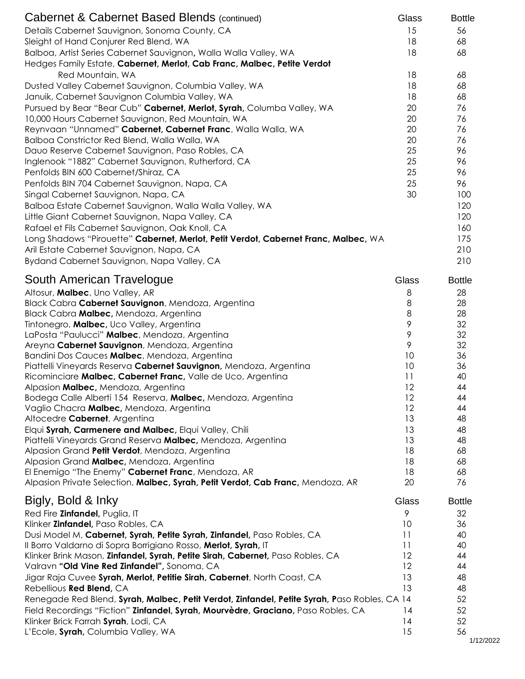| Cabernet & Cabernet Based Blends (continued)                                                 | Glass    | <b>Bottle</b>   |
|----------------------------------------------------------------------------------------------|----------|-----------------|
| Details Cabernet Sauvignon, Sonoma County, CA                                                | 15       | 56              |
| Sleight of Hand Conjurer Red Blend, WA                                                       | 18       | 68              |
| Balboa, Artist Series Cabernet Sauvignon, Walla Walla Valley, WA                             | 18       | 68              |
| Hedges Family Estate, Cabernet, Merlot, Cab Franc, Malbec, Petite Verdot                     |          |                 |
| Red Mountain, WA                                                                             | 18       | 68              |
| Dusted Valley Cabernet Sauvignon, Columbia Valley, WA                                        | 18       | 68              |
| Januik, Cabernet Sauvignon Columbia Valley, WA                                               | 18       | 68              |
| Pursued by Bear "Bear Cub" Cabernet, Merlot, Syrah, Columba Valley, WA                       | 20       | 76              |
| 10,000 Hours Cabernet Sauvignon, Red Mountain, WA                                            | 20       | 76              |
| Reynvaan "Unnamed" Cabernet, Cabernet Franc, Walla Walla, WA                                 | 20       | 76              |
| Balboa Constrictor Red Blend, Walla Walla, WA                                                | 20       | 76              |
| Dauo Reserve Cabernet Sauvignon, Paso Robles, CA                                             | 25       | 96              |
| Inglenook "1882" Cabernet Sauvignon, Rutherford, CA                                          | 25       | 96              |
| Penfolds BIN 600 Cabernet/Shiraz, CA                                                         | 25       | 96              |
| Penfolds BIN 704 Cabernet Sauvignon, Napa, CA                                                | 25       | 96              |
| Singal Cabernet Sauvignon, Napa, CA                                                          | 30       | 100             |
| Balboa Estate Cabernet Sauvignon, Walla Walla Valley, WA                                     |          | 120             |
| Little Giant Cabernet Sauvignon, Napa Valley, CA                                             |          | 120             |
| Rafael et Fils Cabernet Sauvignon, Oak Knoll, CA                                             |          | 160             |
| Long Shadows "Pirouette" Cabernet, Merlot, Petit Verdot, Cabernet Franc, Malbec, WA          |          | 175             |
| Aril Estate Cabernet Sauvignon, Napa, CA                                                     |          | 210             |
| Bydand Cabernet Sauvignon, Napa Valley, CA                                                   |          | 210             |
| South American Travelogue                                                                    | Glass    | <b>Bottle</b>   |
| Altosur, Malbec, Uno Valley, AR                                                              | 8        | 28              |
| Black Cabra Cabernet Sauvignon, Mendoza, Argentina                                           | 8        | 28              |
| Black Cabra Malbec, Mendoza, Argentina                                                       | $\,8\,$  | 28              |
| Tintonegro, Malbec, Uco Valley, Argentina                                                    | 9        | 32              |
| LaPosta "Paulucci" Malbec, Mendoza, Argentina                                                | 9        | 32              |
| Areyna Cabernet Sauvignon, Mendoza, Argentina                                                | 9        | 32              |
| Bandini Dos Cauces Malbec, Mendoza, Argentina                                                | 10       | 36              |
| Piattelli Vineyards Reserva Cabernet Sauvignon, Mendoza, Argentina                           | 10       | 36              |
| Ricominciare Malbec, Cabernet Franc, Valle de Uco, Argentina                                 | 11       | 40              |
| Alpasion Malbec, Mendoza, Argentina                                                          | 12       | 44              |
| Bodega Calle Alberti 154 Reserva, Malbec, Mendoza, Argentina                                 | 12       | 44              |
| Vaglio Chacra Malbec, Mendoza, Argentina                                                     | 12       | 44              |
| Altocedre Cabernet, Argentina<br>Elqui Syrah, Carmenere and Malbec, Elqui Valley, Chili      | 13<br>13 | 48<br>48        |
| Piattelli Vineyards Grand Reserva Malbec, Mendoza, Argentina                                 | 13       | 48              |
| Alpasion Grand Petit Verdot, Mendoza, Argentina                                              | 18       | 68              |
| Alpasion Grand Malbec, Mendoza, Argentina                                                    | 18       | 68              |
| El Enemigo "The Enemy" Cabernet Franc, Mendoza, AR                                           | 18       | 68              |
| Alpasion Private Selection, Malbec, Syrah, Petit Verdot, Cab Franc, Mendoza, AR              | 20       | 76              |
| Bigly, Bold & Inky                                                                           | Glass    | <b>Bottle</b>   |
| Red Fire Zinfandel, Puglia, IT                                                               | 9        | 32              |
| Klinker <b>Zinfandel</b> , Paso Robles, CA                                                   | 10       | 36              |
| Dusi Model M, Cabernet, Syrah, Petite Syrah, Zinfandel, Paso Robles, CA                      | 11       | 40              |
| Il Borro Valdarno di Sopra Borrigiano Rosso, Merlot, Syrah, IT                               | 11       | 40              |
| Klinker Brink Mason, Zinfandel, Syrah, Petite Sirah, Cabernet, Paso Robles, CA               | 12       | 44              |
| Valravn "Old Vine Red Zinfandel", Sonoma, CA                                                 | 12       | 44              |
| Jigar Raja Cuvee Syrah, Merlot, Petitie Sirah, Cabernet, North Coast, CA                     | 13       | 48              |
| Rebellious Red Blend, CA                                                                     | 13       | 48              |
| Renegade Red Blend, Syrah, Malbec, Petit Verdot, Zinfandel, Petite Syrah, Paso Robles, CA 14 |          | 52              |
| Field Recordings "Fiction" <b>Zinfandel, Syrah, Mourvèdre, Graciano,</b> Paso Robles, CA     | 14       | 52              |
| Klinker Brick Farrah Syrah, Lodi, CA                                                         | 14       | 52              |
| L'Ecole, Syrah, Columbia Valley, WA                                                          | 15       | 56<br>1/12/2022 |